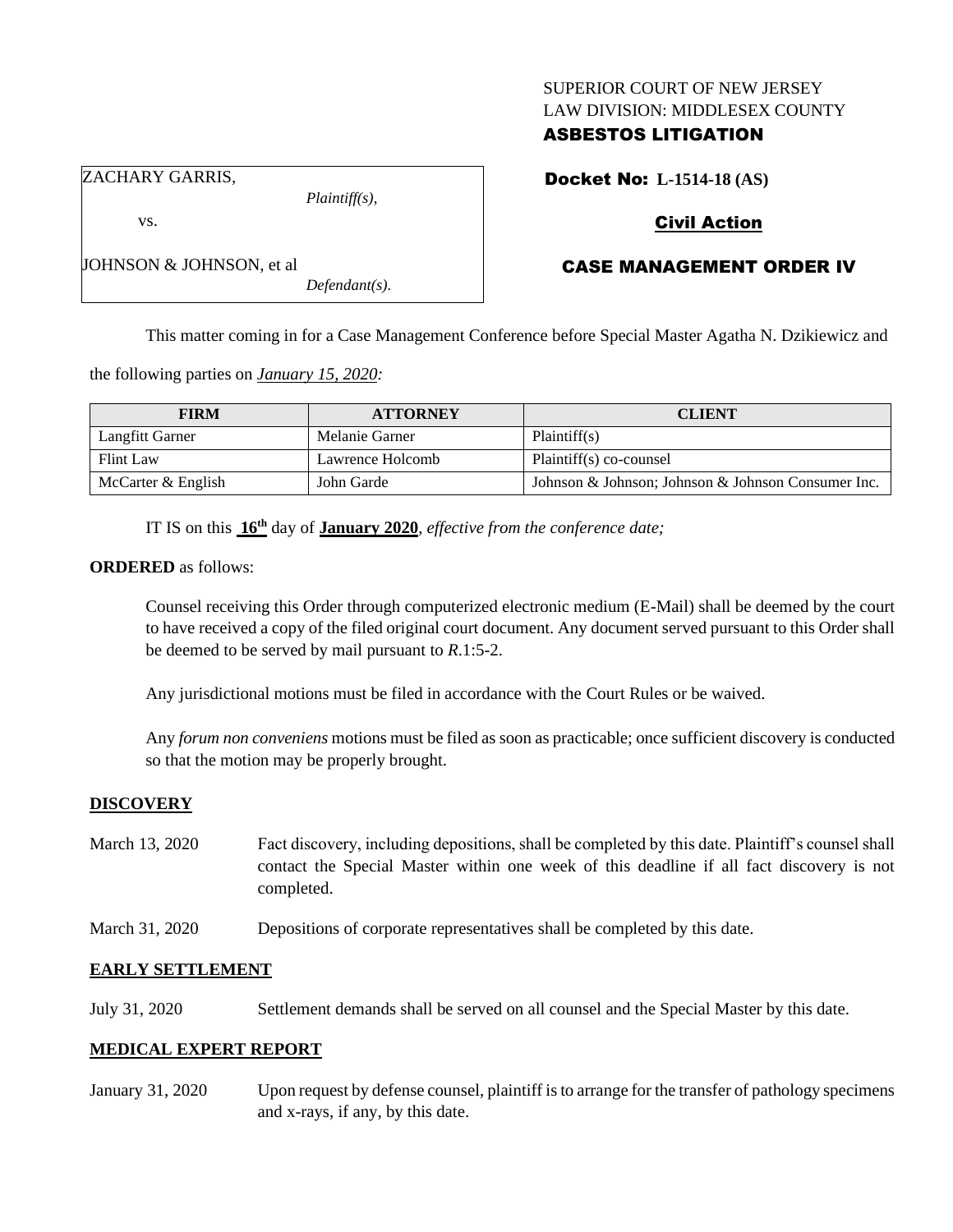### SUPERIOR COURT OF NEW JERSEY LAW DIVISION: MIDDLESEX COUNTY

## ASBESTOS LITIGATION

Docket No: **L-1514-18 (AS)**

ZACHARY GARRIS,

JOHNSON & JOHNSON, et al

vs.

*Plaintiff(s),*

*Defendant(s).*

# Civil Action

# CASE MANAGEMENT ORDER IV

This matter coming in for a Case Management Conference before Special Master Agatha N. Dzikiewicz and

the following parties on *January 15, 2020:*

| <b>FIRM</b>        | <b>ATTORNEY</b>  | <b>CLIENT</b>                                      |
|--------------------|------------------|----------------------------------------------------|
| Langfitt Garner    | Melanie Garner   | Plaintiff(s)                                       |
| Flint Law          | Lawrence Holcomb | Plaintiff(s) co-counsel                            |
| McCarter & English | John Garde       | Johnson & Johnson; Johnson & Johnson Consumer Inc. |

IT IS on this **16th** day of **January 2020**, *effective from the conference date;*

#### **ORDERED** as follows:

Counsel receiving this Order through computerized electronic medium (E-Mail) shall be deemed by the court to have received a copy of the filed original court document. Any document served pursuant to this Order shall be deemed to be served by mail pursuant to *R*.1:5-2.

Any jurisdictional motions must be filed in accordance with the Court Rules or be waived.

Any *forum non conveniens* motions must be filed as soon as practicable; once sufficient discovery is conducted so that the motion may be properly brought.

### **DISCOVERY**

- March 13, 2020 Fact discovery, including depositions, shall be completed by this date. Plaintiff's counsel shall contact the Special Master within one week of this deadline if all fact discovery is not completed.
- March 31, 2020 Depositions of corporate representatives shall be completed by this date.

### **EARLY SETTLEMENT**

July 31, 2020 Settlement demands shall be served on all counsel and the Special Master by this date.

### **MEDICAL EXPERT REPORT**

January 31, 2020 Upon request by defense counsel, plaintiff is to arrange for the transfer of pathology specimens and x-rays, if any, by this date.